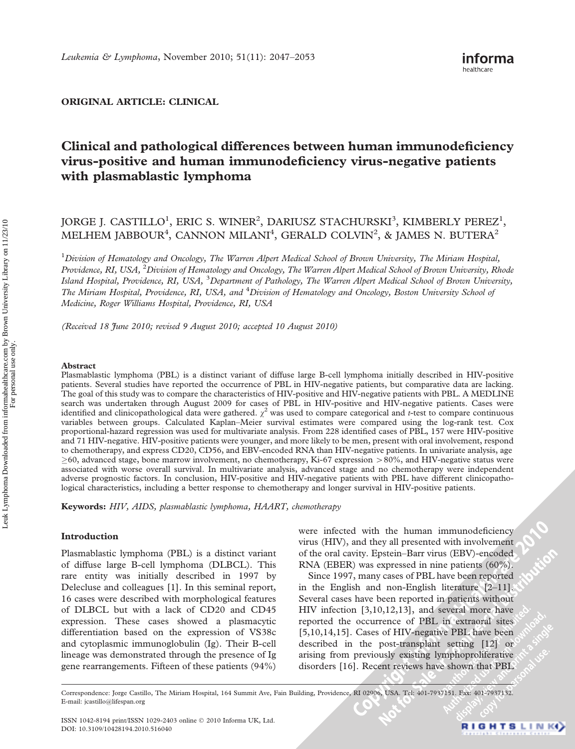# ORIGINAL ARTICLE: CLINICAL

# Clinical and pathological differences between human immunodeficiency virus-positive and human immunodeficiency virus-negative patients with plasmablastic lymphoma

# JORGE J. CASTILLO<sup>1</sup>, ERIC S. WINER<sup>2</sup>, DARIUSZ STACHURSKI<sup>3</sup>, KIMBERLY PEREZ<sup>1</sup>, MELHEM JABBOUR<sup>4</sup>, CANNON MILANI<sup>4</sup>, GERALD COLVIN<sup>2</sup>, & JAMES N. BUTERA<sup>2</sup>

<sup>1</sup> Division of Hematology and Oncology, The Warren Alpert Medical School of Brown University, The Miriam Hospital, Providence, RI, USA, <sup>2</sup>Division of Hematology and Oncology, The Warren Alpert Medical School of Brown University, Rhode Island Hospital, Providence, RI, USA, <sup>3</sup>Department of Pathology, The Warren Alpert Medical School of Brown University, The Miriam Hospital, Providence, RI, USA, and <sup>4</sup>Division of Hematology and Oncology, Boston University School of Medicine, Roger Williams Hospital, Providence, RI, USA

(Received 18 June 2010; revised 9 August 2010; accepted 10 August 2010)

#### Abstract

Plasmablastic lymphoma (PBL) is a distinct variant of diffuse large B-cell lymphoma initially described in HIV-positive patients. Several studies have reported the occurrence of PBL in HIV-negative patients, but comparative data are lacking. The goal of this study was to compare the characteristics of HIV-positive and HIV-negative patients with PBL. A MEDLINE search was undertaken through August 2009 for cases of PBL in HIV-positive and HIV-negative patients. Cases were identified and clinicopathological data were gathered.  $\chi^2$  was used to compare categorical and t-test to compare continuous variables between groups. Calculated Kaplan–Meier survival estimates were compared using the log-rank test. Cox proportional-hazard regression was used for multivariate analysis. From 228 identified cases of PBL, 157 were HIV-positive and 71 HIV-negative. HIV-positive patients were younger, and more likely to be men, present with oral involvement, respond to chemotherapy, and express CD20, CD56, and EBV-encoded RNA than HIV-negative patients. In univariate analysis, age  $\geq$ 60, advanced stage, bone marrow involvement, no chemotherapy, Ki-67 expression  $>$ 80%, and HIV-negative status were associated with worse overall survival. In multivariate analysis, advanced stage and no chemotherapy were independent adverse prognostic factors. In conclusion, HIV-positive and HIV-negative patients with PBL have different clinicopathological characteristics, including a better response to chemotherapy and longer survival in HIV-positive patients.

Keywords: HIV, AIDS, plasmablastic lymphoma, HAART, chemotherapy

## Introduction

Plasmablastic lymphoma (PBL) is a distinct variant of diffuse large B-cell lymphoma (DLBCL). This rare entity was initially described in 1997 by Delecluse and colleagues [1]. In this seminal report, 16 cases were described with morphological features of DLBCL but with a lack of CD20 and CD45 expression. These cases showed a plasmacytic differentiation based on the expression of VS38c and cytoplasmic immunoglobulin (Ig). Their B-cell lineage was demonstrated through the presence of Ig gene rearrangements. Fifteen of these patients (94%)

were infected with the human immunodeficiency virus (HIV), and they all presented with involvement of the oral cavity. Epstein–Barr virus (EBV)-encoded RNA (EBER) was expressed in nine patients (60%).

Since 1997, many cases of PBL have been reported in the English and non-English literature [2–11]. Several cases have been reported in patients without HIV infection [3,10,12,13], and several more have reported the occurrence of PBL in extraoral sites [5,10,14,15]. Cases of HIV-negative PBL have been described in the post-transplant setting [12] or arising from previously existing lymphoproliferative disorders [16]. Recent reviews have shown that PBL

Correspondence: Jorge Castillo, The Miriam Hospital, 164 Summit Ave, Fain Building, Providence, RI 02906, USA. Tel: 401-7937151. Fax: 401-7937132. E-mail: jcastillo@lifespan.org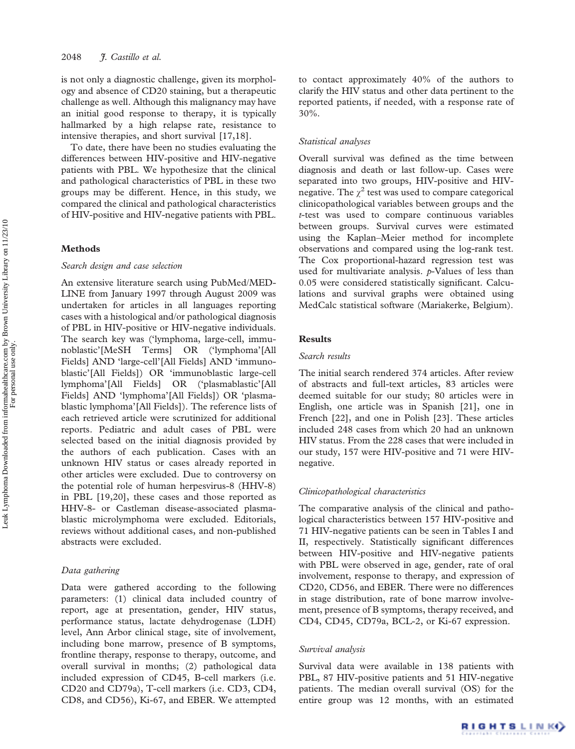is not only a diagnostic challenge, given its morphology and absence of CD20 staining, but a therapeutic challenge as well. Although this malignancy may have an initial good response to therapy, it is typically hallmarked by a high relapse rate, resistance to intensive therapies, and short survival [17,18].

To date, there have been no studies evaluating the differences between HIV-positive and HIV-negative patients with PBL. We hypothesize that the clinical and pathological characteristics of PBL in these two groups may be different. Hence, in this study, we compared the clinical and pathological characteristics of HIV-positive and HIV-negative patients with PBL.

## Methods

## Search design and case selection

An extensive literature search using PubMed/MED-LINE from January 1997 through August 2009 was undertaken for articles in all languages reporting cases with a histological and/or pathological diagnosis of PBL in HIV-positive or HIV-negative individuals. The search key was ('lymphoma, large-cell, immunoblastic'[MeSH Terms] OR ('lymphoma'[All Fields] AND 'large-cell'[All Fields] AND 'immunoblastic'[All Fields]) OR 'immunoblastic large-cell lymphoma'[All Fields] OR ('plasmablastic'[All Fields] AND 'lymphoma'[All Fields]) OR 'plasmablastic lymphoma'[All Fields]). The reference lists of each retrieved article were scrutinized for additional reports. Pediatric and adult cases of PBL were selected based on the initial diagnosis provided by the authors of each publication. Cases with an unknown HIV status or cases already reported in other articles were excluded. Due to controversy on the potential role of human herpesvirus-8 (HHV-8) in PBL [19,20], these cases and those reported as HHV-8- or Castleman disease-associated plasmablastic microlymphoma were excluded. Editorials, reviews without additional cases, and non-published abstracts were excluded.

#### Data gathering

Data were gathered according to the following parameters: (1) clinical data included country of report, age at presentation, gender, HIV status, performance status, lactate dehydrogenase (LDH) level, Ann Arbor clinical stage, site of involvement, including bone marrow, presence of B symptoms, frontline therapy, response to therapy, outcome, and overall survival in months; (2) pathological data included expression of CD45, B-cell markers (i.e. CD20 and CD79a), T-cell markers (i.e. CD3, CD4, CD8, and CD56), Ki-67, and EBER. We attempted

to contact approximately 40% of the authors to clarify the HIV status and other data pertinent to the reported patients, if needed, with a response rate of 30%.

## Statistical analyses

Overall survival was defined as the time between diagnosis and death or last follow-up. Cases were separated into two groups, HIV-positive and HIVnegative. The  $\gamma^2$  test was used to compare categorical clinicopathological variables between groups and the t-test was used to compare continuous variables between groups. Survival curves were estimated using the Kaplan–Meier method for incomplete observations and compared using the log-rank test. The Cox proportional-hazard regression test was used for multivariate analysis.  $p$ -Values of less than 0.05 were considered statistically significant. Calculations and survival graphs were obtained using MedCalc statistical software (Mariakerke, Belgium).

# Results

## Search results

The initial search rendered 374 articles. After review of abstracts and full-text articles, 83 articles were deemed suitable for our study; 80 articles were in English, one article was in Spanish [21], one in French [22], and one in Polish [23]. These articles included 248 cases from which 20 had an unknown HIV status. From the 228 cases that were included in our study, 157 were HIV-positive and 71 were HIVnegative.

### Clinicopathological characteristics

The comparative analysis of the clinical and pathological characteristics between 157 HIV-positive and 71 HIV-negative patients can be seen in Tables I and II, respectively. Statistically significant differences between HIV-positive and HIV-negative patients with PBL were observed in age, gender, rate of oral involvement, response to therapy, and expression of CD20, CD56, and EBER. There were no differences in stage distribution, rate of bone marrow involvement, presence of B symptoms, therapy received, and CD4, CD45, CD79a, BCL-2, or Ki-67 expression.

#### Survival analysis

Survival data were available in 138 patients with PBL, 87 HIV-positive patients and 51 HIV-negative patients. The median overall survival (OS) for the entire group was 12 months, with an estimated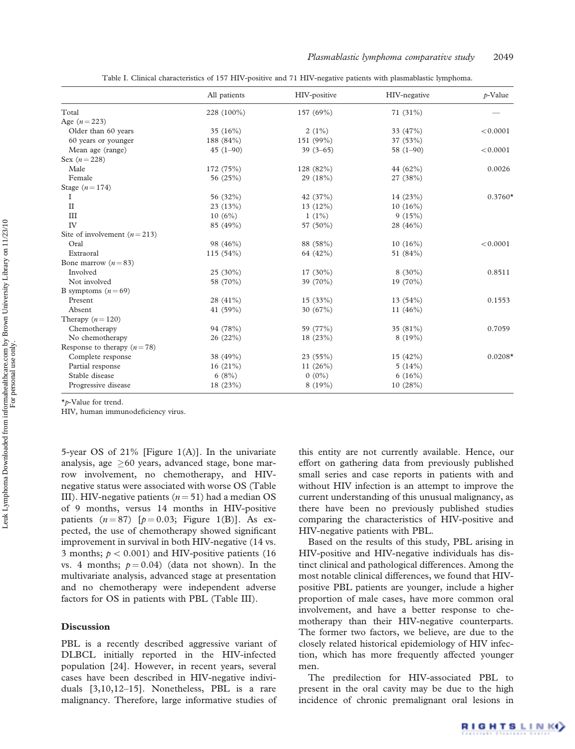Table I. Clinical characteristics of 157 HIV-positive and 71 HIV-negative patients with plasmablastic lymphoma.

|                               | All patients | HIV-positive | HIV-negative | $p$ -Value |
|-------------------------------|--------------|--------------|--------------|------------|
| Total                         | 228 (100%)   | 157 (69%)    | $71(31\%)$   |            |
| Age $(n = 223)$               |              |              |              |            |
| Older than 60 years           | 35 $(16%)$   | $2(1\%)$     | 33 (47%)     | < 0.0001   |
| 60 years or younger           | 188 (84%)    | 151 (99%)    | 37 (53%)     |            |
| Mean age (range)              | $45(1-90)$   | $39(3-65)$   | $58(1-90)$   | < 0.0001   |
| Sex $(n = 228)$               |              |              |              |            |
| Male                          | 172 (75%)    | 128 (82%)    | 44 (62%)     | 0.0026     |
| Female                        | 56 (25%)     | 29 (18%)     | 27 (38%)     |            |
| Stage $(n=174)$               |              |              |              |            |
| 1                             | 56 (32%)     | 42 $(37%)$   | 14 (23%)     | $0.3760*$  |
| $\mathbf{I}$                  | 23(13%)      | $13(12\%)$   | $10(16\%)$   |            |
| III                           | 10(6%)       | $1(1\%)$     | 9(15%)       |            |
| IV                            | 85 (49%)     | 57 (50%)     | 28 (46%)     |            |
| Site of involvement $(n=213)$ |              |              |              |            |
| Oral                          | 98 (46%)     | 88 (58%)     | $10(16\%)$   | < 0.0001   |
| Extraoral                     | 115(54%)     | 64 (42%)     | 51 (84%)     |            |
| Bone marrow $(n=83)$          |              |              |              |            |
| Involved                      | $25(30\%)$   | 17 (30%)     | $8(30\%)$    | 0.8511     |
| Not involved                  | 58 (70%)     | 39 (70%)     | 19 (70%)     |            |
| B symptoms $(n=69)$           |              |              |              |            |
| Present                       | 28 (41%)     | 15 (33%)     | 13(54%)      | 0.1553     |
| Absent                        | 41 $(59%)$   | 30 (67%)     | 11 $(46%)$   |            |
| Therapy $(n=120)$             |              |              |              |            |
| Chemotherapy                  | 94 (78%)     | 59 (77%)     | 35 (81%)     | 0.7059     |
| No chemotherapy               | 26(22%)      | 18 (23%)     | 8(19%)       |            |
| Response to therapy $(n=78)$  |              |              |              |            |
| Complete response             | 38 (49%)     | 23(55%)      | 15(42%)      | $0.0208*$  |
| Partial response              | 16(21%)      | 11 $(26%)$   | 5(14%)       |            |
| Stable disease                | 6(8%)        | $0(0\%)$     | 6(16%)       |            |
| Progressive disease           | 18(23%)      | 8(19%)       | 10(28%)      |            |

\*p-Value for trend.

HIV, human immunodeficiency virus.

5-year OS of 21% [Figure 1(A)]. In the univariate analysis, age  $\geq 60$  years, advanced stage, bone marrow involvement, no chemotherapy, and HIVnegative status were associated with worse OS (Table III). HIV-negative patients  $(n = 51)$  had a median OS of 9 months, versus 14 months in HIV-positive patients  $(n = 87)$  [ $p = 0.03$ ; Figure 1(B)]. As expected, the use of chemotherapy showed significant improvement in survival in both HIV-negative (14 vs. 3 months;  $p < 0.001$ ) and HIV-positive patients (16) vs. 4 months;  $p = 0.04$ ) (data not shown). In the multivariate analysis, advanced stage at presentation and no chemotherapy were independent adverse factors for OS in patients with PBL (Table III).

# Discussion

PBL is a recently described aggressive variant of DLBCL initially reported in the HIV-infected population [24]. However, in recent years, several cases have been described in HIV-negative individuals [3,10,12–15]. Nonetheless, PBL is a rare malignancy. Therefore, large informative studies of this entity are not currently available. Hence, our effort on gathering data from previously published small series and case reports in patients with and without HIV infection is an attempt to improve the current understanding of this unusual malignancy, as there have been no previously published studies comparing the characteristics of HIV-positive and HIV-negative patients with PBL.

Based on the results of this study, PBL arising in HIV-positive and HIV-negative individuals has distinct clinical and pathological differences. Among the most notable clinical differences, we found that HIVpositive PBL patients are younger, include a higher proportion of male cases, have more common oral involvement, and have a better response to chemotherapy than their HIV-negative counterparts. The former two factors, we believe, are due to the closely related historical epidemiology of HIV infection, which has more frequently affected younger men.

The predilection for HIV-associated PBL to present in the oral cavity may be due to the high incidence of chronic premalignant oral lesions in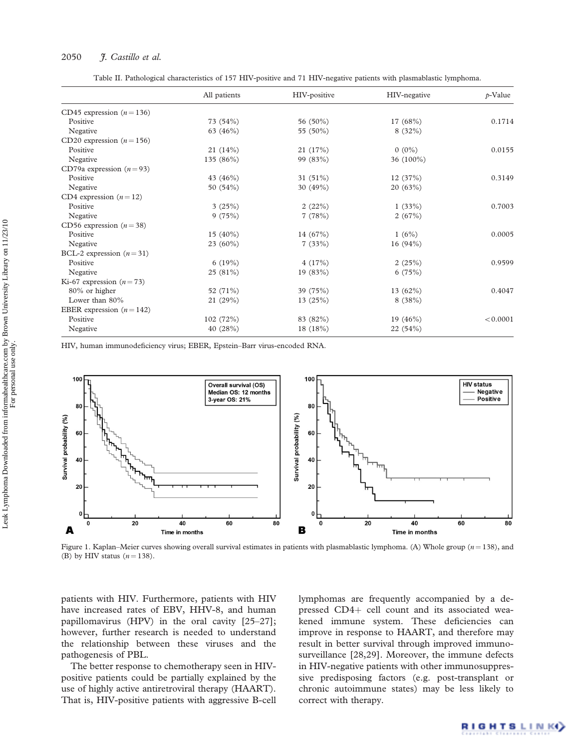## 2050 F. Castillo et al.

Table II. Pathological characteristics of 157 HIV-positive and 71 HIV-negative patients with plasmablastic lymphoma.

|                           | All patients | HIV-positive | HIV-negative | $p$ -Value |
|---------------------------|--------------|--------------|--------------|------------|
| CD45 expression $(n=136)$ |              |              |              |            |
| Positive                  | 73(54%)      | 56 (50%)     | 17 $(68%)$   | 0.1714     |
| Negative                  | 63 (46%)     | 55 (50%)     | $8(32\%)$    |            |
| CD20 expression $(n=156)$ |              |              |              |            |
| Positive                  | 21(14%)      | 21 (17%)     | $0(0\%)$     | 0.0155     |
| Negative                  | 135 $(86\%)$ | 99 (83%)     | 36 (100%)    |            |
| CD79a expression $(n=93)$ |              |              |              |            |
| Positive                  | 43 $(46%)$   | 31 $(51\%)$  | 12(37%)      | 0.3149     |
| Negative                  | 50 (54%)     | 30 $(49%)$   | 20(63%)      |            |
| CD4 expression $(n=12)$   |              |              |              |            |
| Positive                  | 3(25%)       | 2(22%)       | 1(33%)       | 0.7003     |
| Negative                  | 9(75%)       | 7(78%)       | 2(67%)       |            |
| CD56 expression $(n=38)$  |              |              |              |            |
| Positive                  | $15(40\%)$   | 14 $(67%)$   | 1(6%)        | 0.0005     |
| Negative                  | $23(60\%)$   | 7(33%)       | 16 $(94%)$   |            |
| BCL-2 expression $(n=31)$ |              |              |              |            |
| Positive                  | 6(19%)       | 4(17%)       | 2(25%)       | 0.9599     |
| Negative                  | 25(81%)      | 19 (83%)     | 6(75%)       |            |
| Ki-67 expression $(n=73)$ |              |              |              |            |
| 80% or higher             | 52 (71%)     | 39 (75%)     | 13 $(62%)$   | 0.4047     |
| Lower than 80%            | 21(29%)      | 13(25%)      | 8(38%)       |            |
| EBER expression $(n=142)$ |              |              |              |            |
| Positive                  | 102(72%)     | 83 (82%)     | 19 $(46%)$   | < 0.0001   |
| Negative                  | 40(28%)      | 18 (18%)     | 22(54%)      |            |

HIV, human immunodeficiency virus; EBER, Epstein–Barr virus-encoded RNA.



Figure 1. Kaplan–Meier curves showing overall survival estimates in patients with plasmablastic lymphoma. (A) Whole group  $(n = 138)$ , and (B) by HIV status  $(n = 138)$ .

patients with HIV. Furthermore, patients with HIV have increased rates of EBV, HHV-8, and human papillomavirus (HPV) in the oral cavity [25–27]; however, further research is needed to understand the relationship between these viruses and the pathogenesis of PBL.

The better response to chemotherapy seen in HIVpositive patients could be partially explained by the use of highly active antiretroviral therapy (HAART). That is, HIV-positive patients with aggressive B-cell lymphomas are frequently accompanied by a depressed CD4+ cell count and its associated weakened immune system. These deficiencies can improve in response to HAART, and therefore may result in better survival through improved immunosurveillance [28,29]. Moreover, the immune defects in HIV-negative patients with other immunosuppressive predisposing factors (e.g. post-transplant or chronic autoimmune states) may be less likely to correct with therapy.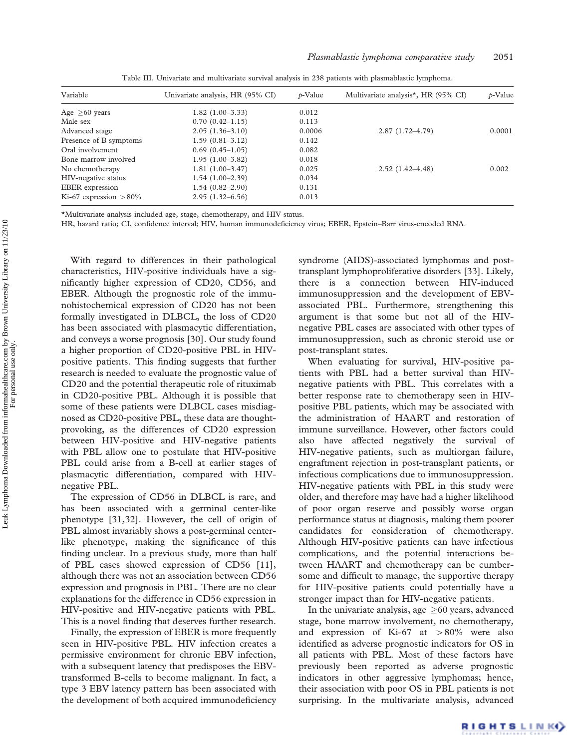| Variable                 | Univariate analysis, HR (95% CI) | $p$ -Value | Multivariate analysis*, HR (95% CI) | $p$ -Value |
|--------------------------|----------------------------------|------------|-------------------------------------|------------|
| Age $>60$ years          | $1.82(1.00-3.33)$                | 0.012      |                                     |            |
| Male sex                 | $0.70(0.42 - 1.15)$              | 0.113      |                                     |            |
| Advanced stage           | $2.05(1.36-3.10)$                | 0.0006     | $2.87(1.72 - 4.79)$                 | 0.0001     |
| Presence of B symptoms   | $1.59(0.81-3.12)$                | 0.142      |                                     |            |
| Oral involvement         | $0.69(0.45-1.05)$                | 0.082      |                                     |            |
| Bone marrow involved     | $1.95(1.00-3.82)$                | 0.018      |                                     |            |
| No chemotherapy          | $1.81(1.00-3.47)$                | 0.025      | $2.52(1.42 - 4.48)$                 | 0.002      |
| HIV-negative status      | $1.54(1.00-2.39)$                | 0.034      |                                     |            |
| <b>EBER</b> expression   | $1.54(0.82 - 2.90)$              | 0.131      |                                     |            |
| Ki-67 expression $>80\%$ | $2.95(1.32 - 6.56)$              | 0.013      |                                     |            |

Table III. Univariate and multivariate survival analysis in 238 patients with plasmablastic lymphoma.

\*Multivariate analysis included age, stage, chemotherapy, and HIV status.

HR, hazard ratio; CI, confidence interval; HIV, human immunodeficiency virus; EBER, Epstein–Barr virus-encoded RNA.

With regard to differences in their pathological characteristics, HIV-positive individuals have a significantly higher expression of CD20, CD56, and EBER. Although the prognostic role of the immunohistochemical expression of CD20 has not been formally investigated in DLBCL, the loss of CD20 has been associated with plasmacytic differentiation, and conveys a worse prognosis [30]. Our study found a higher proportion of CD20-positive PBL in HIVpositive patients. This finding suggests that further research is needed to evaluate the prognostic value of CD20 and the potential therapeutic role of rituximab in CD20-positive PBL. Although it is possible that some of these patients were DLBCL cases misdiagnosed as CD20-positive PBL, these data are thoughtprovoking, as the differences of CD20 expression between HIV-positive and HIV-negative patients with PBL allow one to postulate that HIV-positive PBL could arise from a B-cell at earlier stages of plasmacytic differentiation, compared with HIVnegative PBL.

The expression of CD56 in DLBCL is rare, and has been associated with a germinal center-like phenotype [31,32]. However, the cell of origin of PBL almost invariably shows a post-germinal centerlike phenotype, making the significance of this finding unclear. In a previous study, more than half of PBL cases showed expression of CD56 [11], although there was not an association between CD56 expression and prognosis in PBL. There are no clear explanations for the difference in CD56 expression in HIV-positive and HIV-negative patients with PBL. This is a novel finding that deserves further research.

Finally, the expression of EBER is more frequently seen in HIV-positive PBL. HIV infection creates a permissive environment for chronic EBV infection, with a subsequent latency that predisposes the EBVtransformed B-cells to become malignant. In fact, a type 3 EBV latency pattern has been associated with the development of both acquired immunodeficiency syndrome (AIDS)-associated lymphomas and posttransplant lymphoproliferative disorders [33]. Likely, there is a connection between HIV-induced immunosuppression and the development of EBVassociated PBL. Furthermore, strengthening this argument is that some but not all of the HIVnegative PBL cases are associated with other types of immunosuppression, such as chronic steroid use or post-transplant states.

When evaluating for survival, HIV-positive patients with PBL had a better survival than HIVnegative patients with PBL. This correlates with a better response rate to chemotherapy seen in HIVpositive PBL patients, which may be associated with the administration of HAART and restoration of immune surveillance. However, other factors could also have affected negatively the survival of HIV-negative patients, such as multiorgan failure, engraftment rejection in post-transplant patients, or infectious complications due to immunosuppression. HIV-negative patients with PBL in this study were older, and therefore may have had a higher likelihood of poor organ reserve and possibly worse organ performance status at diagnosis, making them poorer candidates for consideration of chemotherapy. Although HIV-positive patients can have infectious complications, and the potential interactions between HAART and chemotherapy can be cumbersome and difficult to manage, the supportive therapy for HIV-positive patients could potentially have a stronger impact than for HIV-negative patients.

In the univariate analysis, age  $\geq 60$  years, advanced stage, bone marrow involvement, no chemotherapy, and expression of Ki-67 at  $>80\%$  were also identified as adverse prognostic indicators for OS in all patients with PBL. Most of these factors have previously been reported as adverse prognostic indicators in other aggressive lymphomas; hence, their association with poor OS in PBL patients is not surprising. In the multivariate analysis, advanced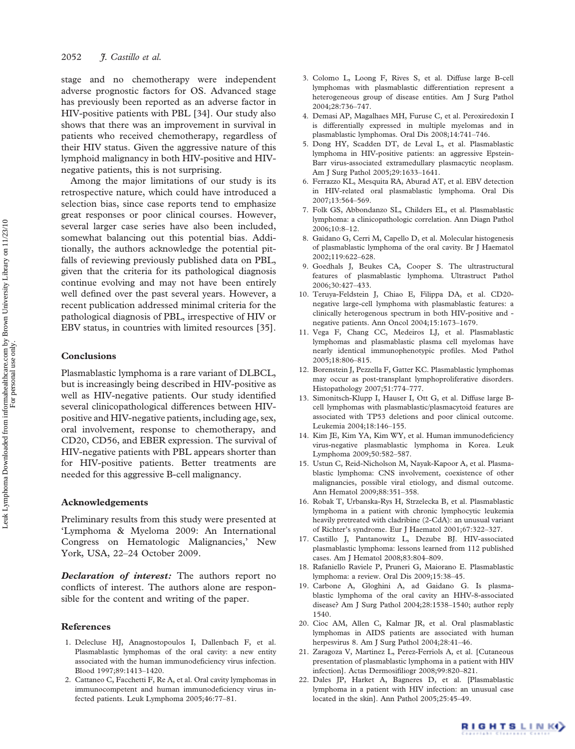stage and no chemotherapy were independent adverse prognostic factors for OS. Advanced stage has previously been reported as an adverse factor in HIV-positive patients with PBL [34]. Our study also shows that there was an improvement in survival in patients who received chemotherapy, regardless of their HIV status. Given the aggressive nature of this lymphoid malignancy in both HIV-positive and HIVnegative patients, this is not surprising.

Among the major limitations of our study is its retrospective nature, which could have introduced a selection bias, since case reports tend to emphasize great responses or poor clinical courses. However, several larger case series have also been included, somewhat balancing out this potential bias. Additionally, the authors acknowledge the potential pitfalls of reviewing previously published data on PBL, given that the criteria for its pathological diagnosis continue evolving and may not have been entirely well defined over the past several years. However, a recent publication addressed minimal criteria for the pathological diagnosis of PBL, irrespective of HIV or EBV status, in countries with limited resources [35].

## Conclusions

Plasmablastic lymphoma is a rare variant of DLBCL, but is increasingly being described in HIV-positive as well as HIV-negative patients. Our study identified several clinicopathological differences between HIVpositive and HIV-negative patients, including age, sex, oral involvement, response to chemotherapy, and CD20, CD56, and EBER expression. The survival of HIV-negative patients with PBL appears shorter than for HIV-positive patients. Better treatments are needed for this aggressive B-cell malignancy.

## Acknowledgements

Preliminary results from this study were presented at 'Lymphoma & Myeloma 2009: An International Congress on Hematologic Malignancies,' New York, USA, 22–24 October 2009.

**Declaration of interest:** The authors report no conflicts of interest. The authors alone are responsible for the content and writing of the paper.

# References

- 1. Delecluse HJ, Anagnostopoulos I, Dallenbach F, et al. Plasmablastic lymphomas of the oral cavity: a new entity associated with the human immunodeficiency virus infection. Blood 1997;89:1413–1420.
- 2. Cattaneo C, Facchetti F, Re A, et al. Oral cavity lymphomas in immunocompetent and human immunodeficiency virus infected patients. Leuk Lymphoma 2005;46:77–81.
- 3. Colomo L, Loong F, Rives S, et al. Diffuse large B-cell lymphomas with plasmablastic differentiation represent a heterogeneous group of disease entities. Am J Surg Pathol 2004;28:736–747.
- 4. Demasi AP, Magalhaes MH, Furuse C, et al. Peroxiredoxin I is differentially expressed in multiple myelomas and in plasmablastic lymphomas. Oral Dis 2008;14:741–746.
- 5. Dong HY, Scadden DT, de Leval L, et al. Plasmablastic lymphoma in HIV-positive patients: an aggressive Epstein-Barr virus-associated extramedullary plasmacytic neoplasm. Am J Surg Pathol 2005;29:1633–1641.
- 6. Ferrazzo KL, Mesquita RA, Aburad AT, et al. EBV detection in HIV-related oral plasmablastic lymphoma. Oral Dis 2007;13:564–569.
- 7. Folk GS, Abbondanzo SL, Childers EL, et al. Plasmablastic lymphoma: a clinicopathologic correlation. Ann Diagn Pathol 2006;10:8–12.
- 8. Gaidano G, Cerri M, Capello D, et al. Molecular histogenesis of plasmablastic lymphoma of the oral cavity. Br J Haematol 2002;119:622–628.
- 9. Goedhals J, Beukes CA, Cooper S. The ultrastructural features of plasmablastic lymphoma. Ultrastruct Pathol 2006;30:427–433.
- 10. Teruya-Feldstein J, Chiao E, Filippa DA, et al. CD20 negative large-cell lymphoma with plasmablastic features: a clinically heterogenous spectrum in both HIV-positive and negative patients. Ann Oncol 2004;15:1673–1679.
- 11. Vega F, Chang CC, Medeiros LJ, et al. Plasmablastic lymphomas and plasmablastic plasma cell myelomas have nearly identical immunophenotypic profiles. Mod Pathol 2005;18:806–815.
- 12. Borenstein J, Pezzella F, Gatter KC. Plasmablastic lymphomas may occur as post-transplant lymphoproliferative disorders. Histopathology 2007;51:774–777.
- 13. Simonitsch-Klupp I, Hauser I, Ott G, et al. Diffuse large Bcell lymphomas with plasmablastic/plasmacytoid features are associated with TP53 deletions and poor clinical outcome. Leukemia 2004;18:146–155.
- 14. Kim JE, Kim YA, Kim WY, et al. Human immunodeficiency virus-negative plasmablastic lymphoma in Korea. Leuk Lymphoma 2009;50:582–587.
- 15. Ustun C, Reid-Nicholson M, Nayak-Kapoor A, et al. Plasmablastic lymphoma: CNS involvement, coexistence of other malignancies, possible viral etiology, and dismal outcome. Ann Hematol 2009;88:351–358.
- 16. Robak T, Urbanska-Rys H, Strzelecka B, et al. Plasmablastic lymphoma in a patient with chronic lymphocytic leukemia heavily pretreated with cladribine (2-CdA): an unusual variant of Richter's syndrome. Eur J Haematol 2001;67:322–327.
- 17. Castillo J, Pantanowitz L, Dezube BJ. HIV-associated plasmablastic lymphoma: lessons learned from 112 published cases. Am J Hematol 2008;83:804–809.
- 18. Rafaniello Raviele P, Pruneri G, Maiorano E. Plasmablastic lymphoma: a review. Oral Dis 2009;15:38–45.
- 19. Carbone A, Gloghini A, ad Gaidano G. Is plasmablastic lymphoma of the oral cavity an HHV-8-associated disease? Am J Surg Pathol 2004;28:1538–1540; author reply 1540.
- 20. Cioc AM, Allen C, Kalmar JR, et al. Oral plasmablastic lymphomas in AIDS patients are associated with human herpesvirus 8. Am J Surg Pathol 2004;28:41–46.
- 21. Zaragoza V, Martinez L, Perez-Ferriols A, et al. [Cutaneous presentation of plasmablastic lymphoma in a patient with HIV infection]. Actas Dermosifiliogr 2008;99:820–821.
- 22. Dales JP, Harket A, Bagneres D, et al. [Plasmablastic lymphoma in a patient with HIV infection: an unusual case located in the skin]. Ann Pathol 2005;25:45–49.